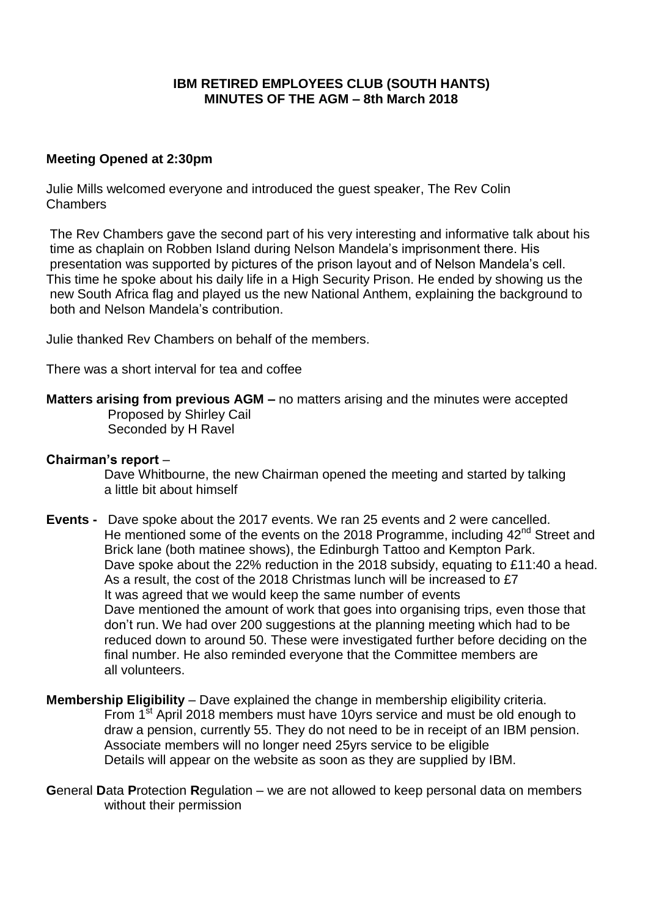# **IBM RETIRED EMPLOYEES CLUB (SOUTH HANTS) MINUTES OF THE AGM – 8th March 2018**

## **Meeting Opened at 2:30pm**

Julie Mills welcomed everyone and introduced the guest speaker, The Rev Colin **Chambers** 

The Rev Chambers gave the second part of his very interesting and informative talk about his time as chaplain on Robben Island during Nelson Mandela's imprisonment there. His presentation was supported by pictures of the prison layout and of Nelson Mandela's cell. This time he spoke about his daily life in a High Security Prison. He ended by showing us the new South Africa flag and played us the new National Anthem, explaining the background to both and Nelson Mandela's contribution.

Julie thanked Rev Chambers on behalf of the members.

There was a short interval for tea and coffee

## **Matters arising from previous AGM –** no matters arising and the minutes were accepted

Proposed by Shirley Cail Seconded by H Ravel

#### **Chairman's report** –

 Dave Whitbourne, the new Chairman opened the meeting and started by talking a little bit about himself

- **Events -** Dave spoke about the 2017 events. We ran 25 events and 2 were cancelled. He mentioned some of the events on the 2018 Programme, including  $42<sup>nd</sup>$  Street and Brick lane (both matinee shows), the Edinburgh Tattoo and Kempton Park. Dave spoke about the 22% reduction in the 2018 subsidy, equating to £11:40 a head. As a result, the cost of the 2018 Christmas lunch will be increased to £7 It was agreed that we would keep the same number of events Dave mentioned the amount of work that goes into organising trips, even those that don't run. We had over 200 suggestions at the planning meeting which had to be reduced down to around 50. These were investigated further before deciding on the final number. He also reminded everyone that the Committee members are all volunteers.
- **Membership Eligibility** Dave explained the change in membership eligibility criteria. From 1<sup>st</sup> April 2018 members must have 10yrs service and must be old enough to draw a pension, currently 55. They do not need to be in receipt of an IBM pension. Associate members will no longer need 25yrs service to be eligible Details will appear on the website as soon as they are supplied by IBM.
- **G**eneral **D**ata **P**rotection **R**egulation we are not allowed to keep personal data on members without their permission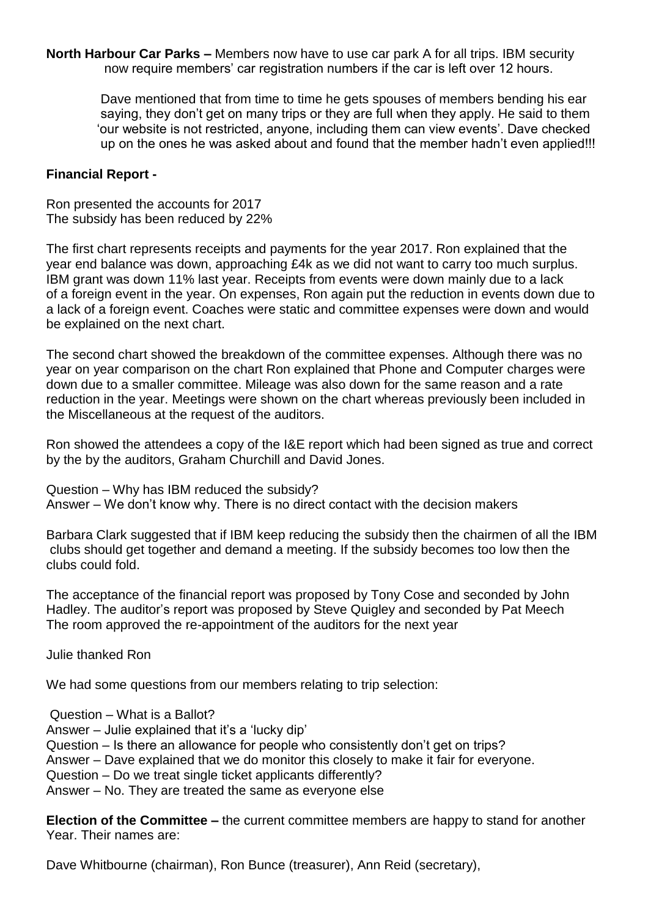**North Harbour Car Parks –** Members now have to use car park A for all trips. IBM security now require members' car registration numbers if the car is left over 12 hours.

 Dave mentioned that from time to time he gets spouses of members bending his ear saying, they don't get on many trips or they are full when they apply. He said to them 'our website is not restricted, anyone, including them can view events'. Dave checked up on the ones he was asked about and found that the member hadn't even applied!!!

### **Financial Report -**

Ron presented the accounts for 2017 The subsidy has been reduced by 22%

The first chart represents receipts and payments for the year 2017. Ron explained that the year end balance was down, approaching £4k as we did not want to carry too much surplus. IBM grant was down 11% last year. Receipts from events were down mainly due to a lack of a foreign event in the year. On expenses, Ron again put the reduction in events down due to a lack of a foreign event. Coaches were static and committee expenses were down and would be explained on the next chart.

The second chart showed the breakdown of the committee expenses. Although there was no year on year comparison on the chart Ron explained that Phone and Computer charges were down due to a smaller committee. Mileage was also down for the same reason and a rate reduction in the year. Meetings were shown on the chart whereas previously been included in the Miscellaneous at the request of the auditors.

Ron showed the attendees a copy of the I&E report which had been signed as true and correct by the by the auditors, Graham Churchill and David Jones.

Question – Why has IBM reduced the subsidy? Answer – We don't know why. There is no direct contact with the decision makers

Barbara Clark suggested that if IBM keep reducing the subsidy then the chairmen of all the IBM clubs should get together and demand a meeting. If the subsidy becomes too low then the clubs could fold.

The acceptance of the financial report was proposed by Tony Cose and seconded by John Hadley. The auditor's report was proposed by Steve Quigley and seconded by Pat Meech The room approved the re-appointment of the auditors for the next year

Julie thanked Ron

We had some questions from our members relating to trip selection:

Question – What is a Ballot?

Answer – Julie explained that it's a 'lucky dip'

Question – Is there an allowance for people who consistently don't get on trips?

Answer – Dave explained that we do monitor this closely to make it fair for everyone.

Question – Do we treat single ticket applicants differently?

Answer – No. They are treated the same as everyone else

**Election of the Committee –** the current committee members are happy to stand for another Year. Their names are:

Dave Whitbourne (chairman), Ron Bunce (treasurer), Ann Reid (secretary),